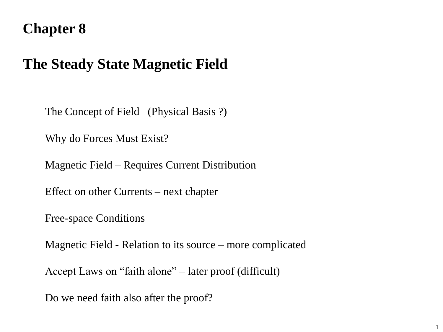# **Chapter 8**

# **The Steady State Magnetic Field**

The Concept of Field (Physical Basis ?)

Why do Forces Must Exist?

Magnetic Field – Requires Current Distribution

Effect on other Currents – next chapter

Free-space Conditions

Magnetic Field - Relation to its source – more complicated

Accept Laws on "faith alone" – later proof (difficult)

Do we need faith also after the proof?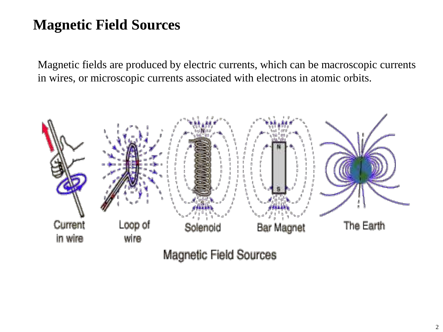# **Magnetic Field Sources**

Magnetic fields are produced by electric currents, which can be macroscopic currents in wires, or microscopic currents associated with electrons in atomic orbits.

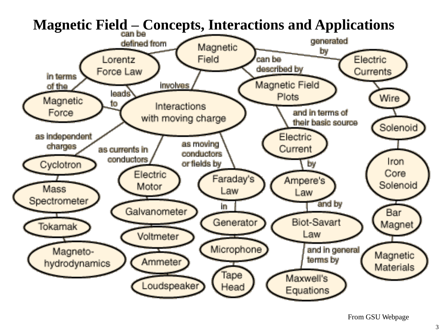

From GSU Webpage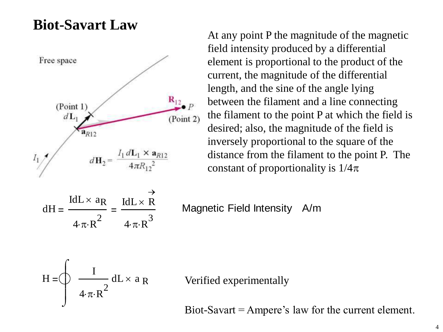#### **Biot-Savart Law**



At any point P the magnitude of the magnetic field intensity produced by a differential element is proportional to the product of the current, the magnitude of the differential length, and the sine of the angle lying between the filament and a line connecting the filament to the point P at which the field is desired; also, the magnitude of the field is inversely proportional to the square of the distance from the filament to the point P. The constant of proportionality is  $1/4\pi$ 

$$
dH = \frac{IdL \times a_R}{4 \cdot \pi \cdot R^2} = \frac{IdL \times R}{4 \cdot \pi \cdot R^3}
$$

Magnetic Field Intensity A/m

$$
H = \oint \frac{I}{4 \cdot \pi \cdot R^2} dL \times a_R
$$

Verified experimentally

Biot-Savart = Ampere's law for the current element.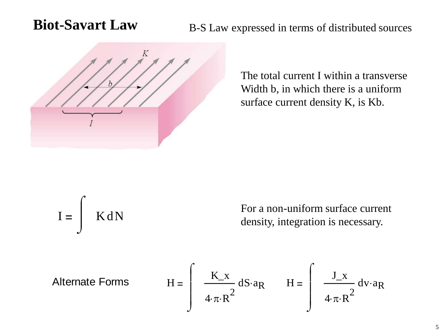#### **Biot-Savart Law** B-S Law expressed in terms of distributed sources



The total current I within a transverse Width b, in which there is a uniform surface current density K, is Kb.

$$
I = \int K dN
$$

For a non-uniform surface current density, integration is necessary.

Alternate Forms 
$$
H = \int \frac{K_x}{4 \cdot \pi \cdot R^2} dS \cdot a_R \qquad H = \int \frac{J_x}{4 \cdot \pi \cdot R^2} dV \cdot a_R
$$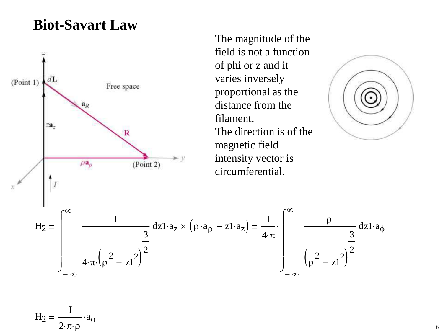#### **Biot-Savart Law**



The magnitude of the field is not a function of phi or z and it varies inversely proportional as the distance from the filament. The direction is of the magnetic field intensity vector is circumferential.



 $-\infty$  $dz1 \cdot a_z \times (\rho \cdot a_\rho - z1 \cdot a_z) = \frac{I}{4}$  $4\cdotp\pi$  $-\infty$  $\infty$  $\rho$  dzl ρ  $\binom{2}{p^2 + z1^2}$ 3 2  $\int$ J  $\cdot$  |  $\frac{1}{2}$  dz1.a<sub> $\phi$ </sub>

 $H_2 = -$ I  $2\cdotp\pi\cdotp\rho$ a φ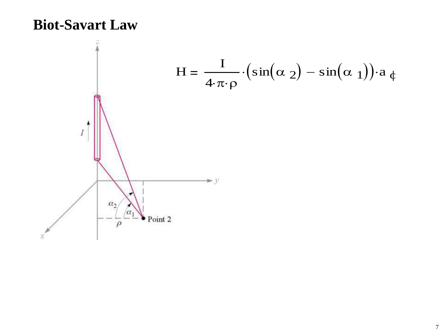#### **Biot-Savart Law**

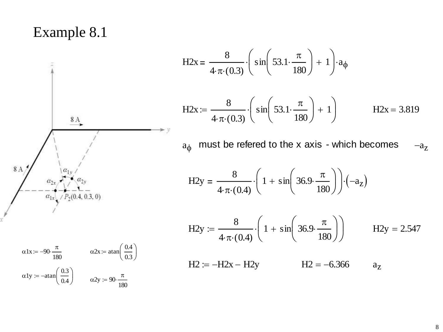#### Example 8.1

H2x =  $\frac{8}{4 \cdot \pi \cdot (0.3)} \cdot \left( \sin \left( 53.1 \cdot \frac{\pi}{180} \right) + 1 \right) \cdot a_{\phi}$ H2x :=  $\frac{8}{4 \cdot \pi \cdot (0.3)} \cdot \left( \sin \left( 53.1 \cdot \frac{\pi}{180} \right) + 1 \right)$  $H2x = 3.819$ 

must be refered to the x axis - which becomes  $a_{\phi}$  $-a_{Z}$ 

H2y = 
$$
\frac{8}{4 \cdot \pi \cdot (0.4)} \cdot \left(1 + \sin\left(36.9 \cdot \frac{\pi}{180}\right)\right) \cdot \left(-a_{z}\right)
$$

H2y := 
$$
\frac{8}{4 \cdot \pi \cdot (0.4)} \cdot \left(1 + \sin\left(36.9 \cdot \frac{\pi}{180}\right)\right)
$$
 H2y = 2.547  
H2 := -H2x - H2y H2 = -6.366  
a<sub>z</sub>



$$
\alpha 1x := -90 \cdot \frac{\pi}{180} \qquad \alpha 2x := \operatorname{atan}\left(\frac{0.4}{0.3}\right)
$$

$$
\alpha 1y := -\operatorname{atan}\left(\frac{0.3}{0.4}\right) \qquad \alpha 2y := 90 \cdot \frac{\pi}{180}
$$

 $a_{Z}$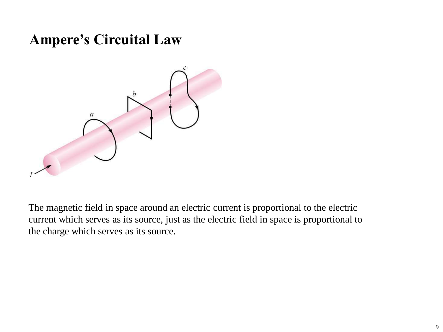# **Ampere's Circuital Law**



The magnetic field in space around an electric current is proportional to the electric current which serves as its source, just as the electric field in space is proportional to the charge which serves as its source.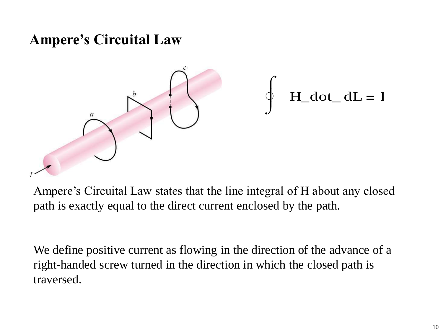# **Ampere's Circuital Law**



Ampere's Circuital Law states that the line integral of H about any closed path is exactly equal to the direct current enclosed by the path.

We define positive current as flowing in the direction of the advance of a right-handed screw turned in the direction in which the closed path is traversed.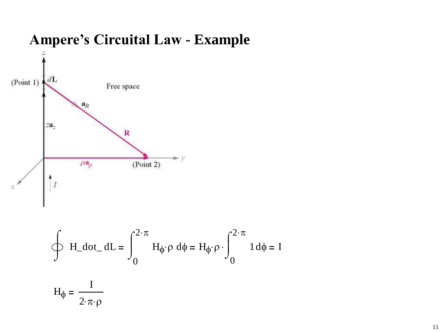

$$
\oint H_{dot} d\sigma = \int_0^{2 \cdot \pi} H_{\phi} \cdot \rho d\phi = H_{\phi} \cdot \rho \cdot \int_0^{2 \cdot \pi} 1 d\phi = I
$$

$$
H_{\phi} = \frac{I}{2 \cdot \pi \cdot \rho}
$$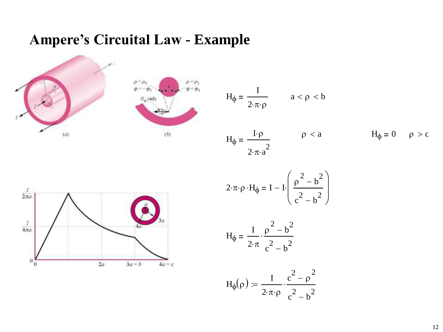



$$
H_{\phi} = \frac{I}{2 \cdot \pi \cdot \rho} \qquad a < \rho < b
$$
  

$$
H_{\phi} = \frac{I \cdot \rho}{2 \cdot \pi \cdot a^{2}} \qquad \rho < a \qquad H_{\phi} = 0 \qquad \rho > c
$$



$$
2 \cdot \pi \cdot \rho \cdot H_{\phi} = I - I \cdot \left( \frac{\rho^2 - b^2}{c^2 - b^2} \right)
$$

$$
H_{\phi} = \frac{I}{2 \cdot \pi} \cdot \frac{\rho^2 - b^2}{c^2 - b^2}
$$

$$
H_{\varphi}(\rho) \coloneqq \frac{I}{2 \cdot \pi \cdot \rho} \cdot \frac{c^2 - \rho^2}{c^2 - b^2}
$$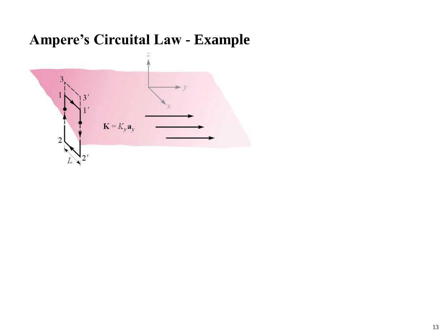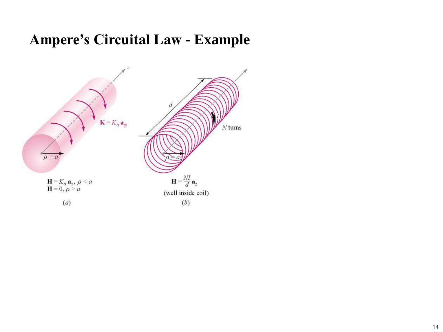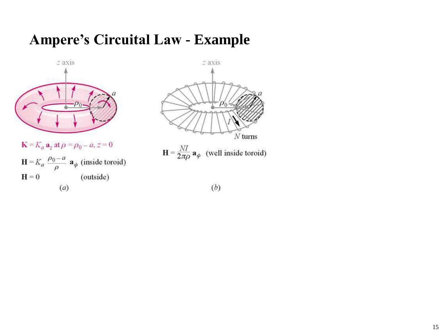

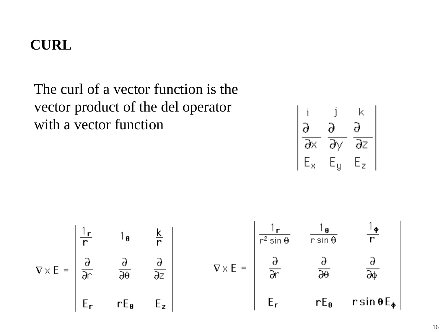The curl of a vector function is the vector product of the del operator with a vector function

$$
\begin{vmatrix}\ni & j & k \\
\frac{\partial}{\partial x} & \frac{\partial}{\partial y} & \frac{\partial}{\partial z} \\
E_x & E_y & E_z\n\end{vmatrix}
$$

$$
\nabla \times E = \begin{vmatrix} \frac{1}{r} & 1_{\theta} & \frac{k}{r} \\ \frac{\partial}{\partial r} & \frac{\partial}{\partial \theta} & \frac{\partial}{\partial z} \\ E_{r} & rE_{\theta} & E_{z} \end{vmatrix} \qquad \nabla \times E = \begin{vmatrix} \frac{1}{r^{2} \sin \theta} & \frac{1_{\theta}}{r \sin \theta} & \frac{1_{\phi}}{r} \\ \frac{\partial}{\partial r} & \frac{\partial}{\partial \theta} & \frac{\partial}{\partial \phi} \\ E_{r} & rE_{\theta} & r \sin \theta E_{\phi} \end{vmatrix}
$$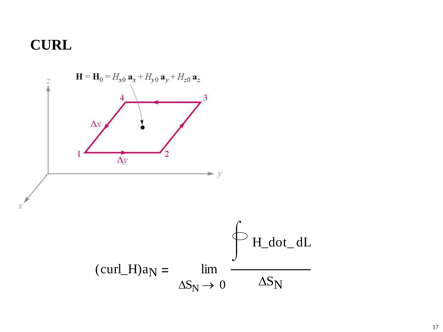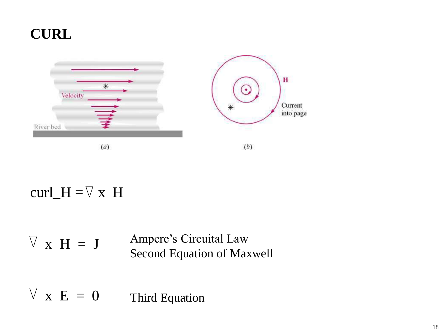

# curl\_H =  $\nabla$  x H

Ampere's Circuital Law Second Equation of Maxwell  $\nabla$  x H = J

Third Equation  $\nabla$  x E = 0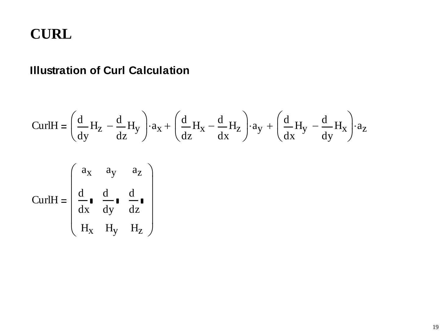#### **Illustration of Curl Calculation**

$$
\text{CurlH} = \left(\frac{d}{dy}H_Z - \frac{d}{dz}H_y\right) \cdot a_X + \left(\frac{d}{dz}H_X - \frac{d}{dx}H_z\right) \cdot a_Y + \left(\frac{d}{dx}H_y - \frac{d}{dy}H_x\right) \cdot a_Z
$$

$$
\text{CurlH} = \begin{pmatrix} a_{X} & a_{Y} & a_{Z} \\ \frac{d}{dx} & \frac{d}{dy} & \frac{d}{dz} \\ H_{X} & H_{Y} & H_{Z} \end{pmatrix}
$$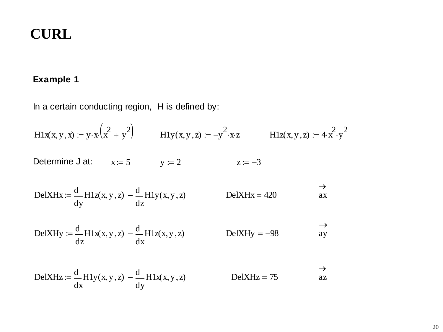#### **Example 1**

In a certain conducting region, H is defined by:

$$
H1x(x, y, x) := y \cdot x \cdot (x^{2} + y^{2})
$$
\n
$$
H1y(x, y, z) := -y^{2} \cdot xz
$$
\n
$$
H1z(x, y, z) := 4 \cdot x^{2} \cdot y^{2}
$$
\n
$$
D1z = 4 \cdot x^{2} \cdot y^{2}
$$
\n
$$
y := 2
$$
\n
$$
z := -3
$$
\n
$$
D2z = -3
$$
\n
$$
D3z = 4 \cdot x^{2} \cdot y^{2}
$$
\n
$$
D4z = 420
$$
\n
$$
D5z = 4 \cdot x^{2} \cdot y^{2}
$$

$$
\text{DelXHy} := \frac{d}{dz} H1x(x, y, z) - \frac{d}{dx} H1z(x, y, z) \qquad \text{DelXHy} = -98 \qquad \text{ay}
$$

$$
DelXHz := \frac{d}{dx} H1y(x, y, z) - \frac{d}{dy} H1x(x, y, z)
$$
  $DelXHz = 75$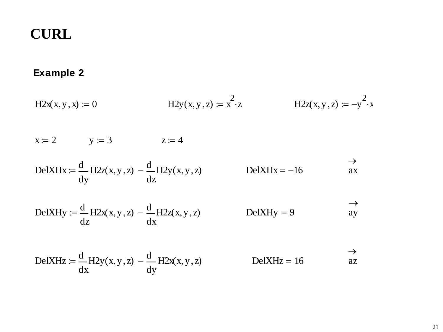#### **Example 2**

$$
H2x(x, y, x) := 0
$$
  
 
$$
H2y(x, y, z) := x^{2} \cdot z
$$
  
 
$$
H2z(x, y, z) := -y^{2} \cdot x
$$

 $x := 2$   $y := 3$   $z := 4$ 

$$
DelXHx := \frac{d}{dy} H2z(x, y, z) - \frac{d}{dz} H2y(x, y, z)
$$
  $DelXHx = -16$ 

$$
DelXHy := \frac{d}{dz} H2x(x, y, z) - \frac{d}{dx} H2z(x, y, z)
$$
  $DelXHy = 9$   $\xrightarrow{ } ay$ 

$$
DelXHz := \frac{d}{dx} H2y(x, y, z) - \frac{d}{dy} H2x(x, y, z)
$$
  $DelXHz = 16$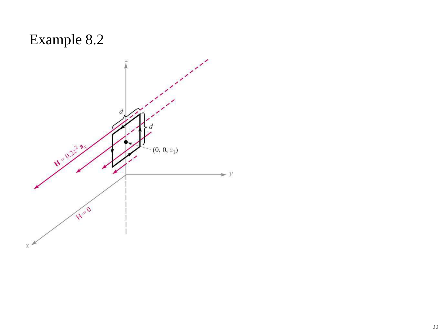# Example 8.2

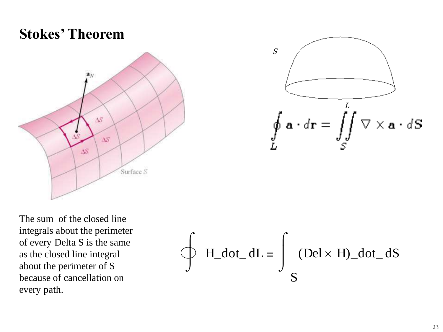# **Stokes' Theorem**



$$
s
$$
\n
$$
s
$$
\n
$$
s
$$
\n
$$
s
$$
\n
$$
s
$$
\n
$$
s
$$
\n
$$
s
$$
\n
$$
s
$$
\n
$$
s
$$
\n
$$
s
$$
\n
$$
s
$$
\n
$$
s
$$

The sum of the closed line integrals about the perimeter of every Delta S is the same as the closed line integral about the perimeter of S because of cancellation on every path.

$$
\oint H_{dot} d\sigma L = \int_{S} (Del \times H)_{dot} dS
$$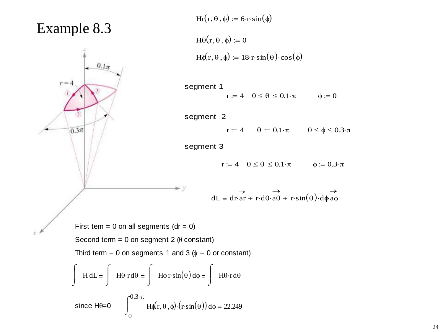#### Example 8.3

 $\tilde{\chi}^{\star}$ 



$$
Hr(r, \theta, \phi) := 6 \cdot r \cdot \sin(\phi)
$$
  

$$
H\theta(r, \theta, \phi) := 0
$$
  

$$
H\phi(r, \theta, \phi) := 18 \cdot r \cdot \sin(\theta) \cdot \cos(\phi)
$$

segment 1  $r := 4$   $0 \le \theta \le 0.1 \cdot \pi$   $\phi := 0$ 

segment 2

 $r := 4$   $\theta := 0.1 \cdot \pi$   $0 \le \phi \le 0.3 \cdot \pi$ 

segment 3

 $r := 4$   $0 \le \theta \le 0.1 \cdot \pi$   $\phi := 0.3 \cdot \pi$ 

dL = dr·ar  $\rightarrow$  $\cdot$ ar + r $\cdot$ d $\theta$ ·a $\theta$  $\rightarrow$ <br>+ r·d $\theta$ ·a $\theta$  + r·sin( $\theta$ )·d $\phi$ a $\phi$ 

First tem  $= 0$  on all segments (dr  $= 0$ )

Second term = 0 on segment 2  $(\theta$  constant)

Third term = 0 on segments 1 and 3  $(\phi = 0 \text{ or constant})$ 

 $\blacktriangleright$  y

$$
\int \text{H} \, dL = \int \text{H} \theta \cdot \text{r} \, d\theta = \int \text{H} \phi \, \text{r} \cdot \sin(\theta) \, d\phi = \int \text{H} \theta \cdot \text{r} \, d\theta
$$
\n
$$
\text{since } \text{H} \theta = 0 \qquad \int_{0}^{0.3 \cdot \pi} \text{H} \phi(\text{r}, \theta, \phi) \cdot (\text{r} \cdot \sin(\theta)) \, d\phi = 22.249
$$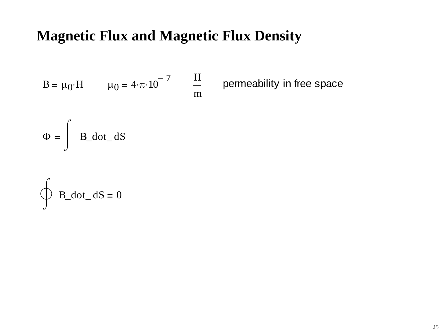# **Magnetic Flux and Magnetic Flux Density**

B = 
$$
\mu_0 \cdot H
$$
  $\mu_0 = 4 \cdot \pi \cdot 10^{-7}$   $\frac{H}{m}$ 

permeability in free space

$$
\Phi = \int B_{\text{dot}\_\text{dS}
$$

$$
\oint B_{\underline{d}} \, \text{dot}_{\underline{d}} \, \text{d}S = 0
$$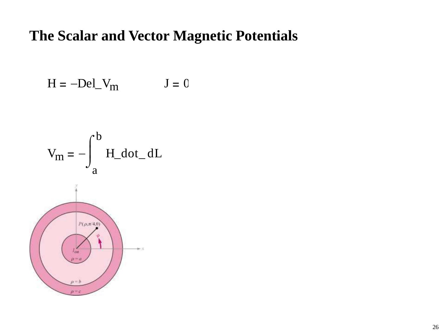#### The Scalar and Vector Magnetic Potentials

$$
H = -Del_V_m \tJ = 0
$$

$$
V_m = -\int_a^b H_d \, \text{d} \sigma \, \text{d} L
$$

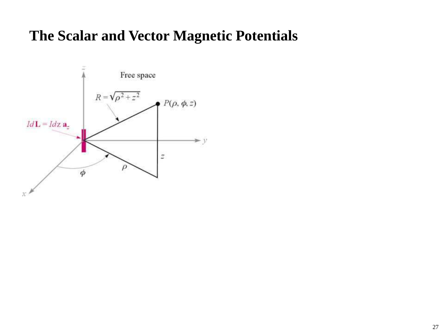#### **The Scalar and Vector Magnetic Potentials**